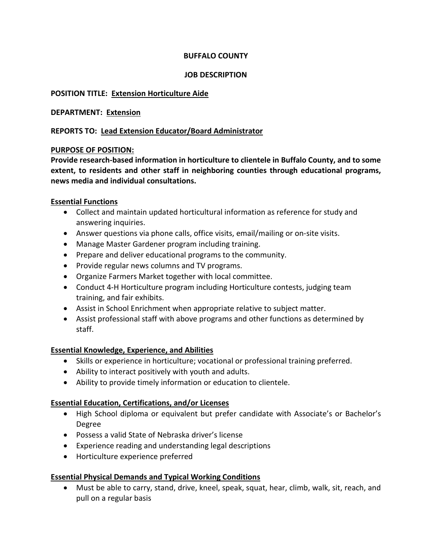# **BUFFALO COUNTY**

## **JOB DESCRIPTION**

# **POSITION TITLE: Extension Horticulture Aide**

# **DEPARTMENT: Extension**

# **REPORTS TO: Lead Extension Educator/Board Administrator**

## **PURPOSE OF POSITION:**

**Provide research-based information in horticulture to clientele in Buffalo County, and to some extent, to residents and other staff in neighboring counties through educational programs, news media and individual consultations.** 

## **Essential Functions**

- Collect and maintain updated horticultural information as reference for study and answering inquiries.
- Answer questions via phone calls, office visits, email/mailing or on-site visits.
- Manage Master Gardener program including training.
- Prepare and deliver educational programs to the community.
- Provide regular news columns and TV programs.
- Organize Farmers Market together with local committee.
- Conduct 4-H Horticulture program including Horticulture contests, judging team training, and fair exhibits.
- Assist in School Enrichment when appropriate relative to subject matter.
- Assist professional staff with above programs and other functions as determined by staff.

# **Essential Knowledge, Experience, and Abilities**

- Skills or experience in horticulture; vocational or professional training preferred.
- Ability to interact positively with youth and adults.
- Ability to provide timely information or education to clientele.

# **Essential Education, Certifications, and/or Licenses**

- High School diploma or equivalent but prefer candidate with Associate's or Bachelor's Degree
- Possess a valid State of Nebraska driver's license
- Experience reading and understanding legal descriptions
- Horticulture experience preferred

# **Essential Physical Demands and Typical Working Conditions**

• Must be able to carry, stand, drive, kneel, speak, squat, hear, climb, walk, sit, reach, and pull on a regular basis